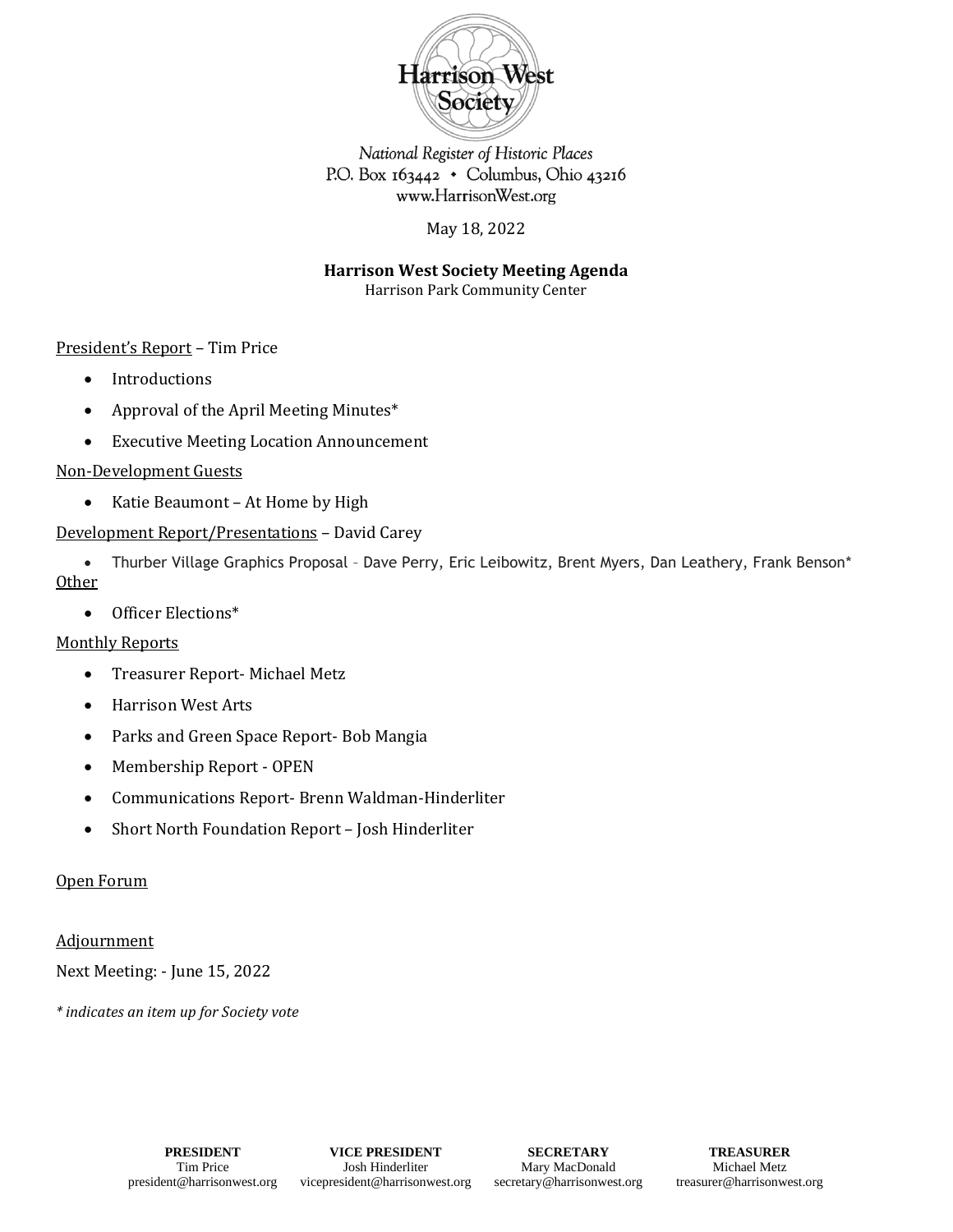

National Register of Historic Places P.O. Box  $163442 \cdot$  Columbus, Ohio 43216 www.HarrisonWest.org

May 18, 2022

**Harrison West Society Meeting Agenda**

Harrison Park Community Center

# President's Report – Tim Price

- Introductions
- Approval of the April Meeting Minutes\*
- Executive Meeting Location Announcement

## Non-Development Guests

• Katie Beaumont – At Home by High

## Development Report/Presentations – David Carey

• Thurber Village Graphics Proposal – Dave Perry, Eric Leibowitz, Brent Myers, Dan Leathery, Frank Benson\* **Other** 

• Officer Elections\*

#### Monthly Reports

- Treasurer Report- Michael Metz
- Harrison West Arts
- Parks and Green Space Report- Bob Mangia
- Membership Report OPEN
- Communications Report- Brenn Waldman-Hinderliter
- Short North Foundation Report Josh Hinderliter

## Open Forum

#### **Adjournment**

Next Meeting: - June 15, 2022

*\* indicates an item up for Society vote*